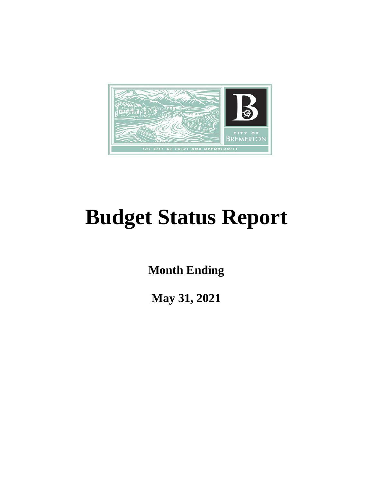

# **Budget Status Report**

**Month Ending**

**May 31, 2021**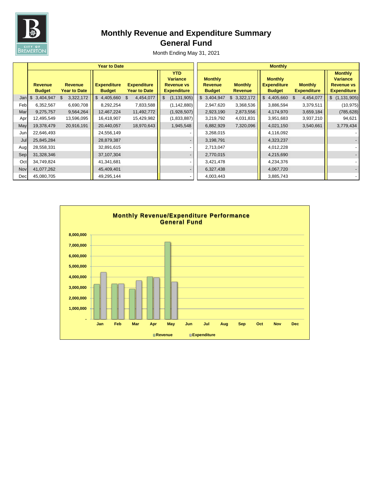

# **Monthly Revenue and Expenditure Summary General Fund**

|            |                                 |                                       | <b>Year to Date</b>                 |                                           | <b>Monthly</b>                                                           |                                                   |                                  |                                                       |                                      |                                                                              |
|------------|---------------------------------|---------------------------------------|-------------------------------------|-------------------------------------------|--------------------------------------------------------------------------|---------------------------------------------------|----------------------------------|-------------------------------------------------------|--------------------------------------|------------------------------------------------------------------------------|
|            | <b>Revenue</b><br><b>Budget</b> | <b>Revenue</b><br><b>Year to Date</b> | <b>Expenditure</b><br><b>Budget</b> | <b>Expenditure</b><br><b>Year to Date</b> | <b>YTD</b><br><b>Variance</b><br><b>Revenue vs</b><br><b>Expenditure</b> | <b>Monthly</b><br><b>Revenue</b><br><b>Budget</b> | <b>Monthly</b><br><b>Revenue</b> | <b>Monthly</b><br><b>Expenditure</b><br><b>Budget</b> | <b>Monthly</b><br><b>Expenditure</b> | <b>Monthly</b><br><b>Variance</b><br><b>Revenue vs</b><br><b>Expenditure</b> |
| Jan        | 3,404,947<br>$\mathcal{L}$      | 3,322,172<br>-S                       | $$4,405,660$ \$                     | 4,454,077                                 | (1, 131, 905)<br>$\frac{1}{2}$                                           | \$3,404,947                                       | \$3,322,172                      | $$4,405,660$ \$                                       | 4,454,077                            | \$(1,131,905)                                                                |
| Feb        | 6,352,567                       | 6,690,708                             | 8,292,254                           | 7,833,588                                 | (1, 142, 880)                                                            | 2,947,620                                         | 3,368,536                        | 3,886,594                                             | 3,379,511                            | (10, 975)                                                                    |
| Mar        | 9,275,757                       | 9,564,264                             | 12,467,224                          | 11,492,772                                | (1,928,507)                                                              | 2,923,190                                         | 2,873,556                        | 4,174,970                                             | 3,659,184                            | (785, 628)                                                                   |
| Apr        | 12,495,549                      | 13,596,095                            | 16,418,907                          | 15,429,982                                | (1,833,887)                                                              | 3,219,792                                         | 4,031,831                        | 3,951,683                                             | 3,937,210                            | 94,621                                                                       |
| May        | 19,378,479                      | 20,916,191                            | 20,440,057                          | 18,970,643                                | 1,945,548                                                                | 6,882,929                                         | 7,320,096                        | 4,021,150                                             | 3,540,661                            | 3,779,434                                                                    |
| Jun        | 22,646,493                      |                                       | 24,556,149                          |                                           |                                                                          | 3,268,015                                         |                                  | 4,116,092                                             |                                      |                                                                              |
| Jul        | 25,845,284                      |                                       | 28,879,387                          |                                           |                                                                          | 3,198,791                                         |                                  | 4,323,237                                             |                                      |                                                                              |
| Aug        | 28,558,331                      |                                       | 32,891,615                          |                                           |                                                                          | 2,713,047                                         |                                  | 4,012,228                                             |                                      |                                                                              |
| Sep        | 31,328,346                      |                                       | 37,107,304                          |                                           |                                                                          | 2,770,015                                         |                                  | 4,215,690                                             |                                      |                                                                              |
| Oct        | 34,749,824                      |                                       | 41,341,681                          |                                           |                                                                          | 3,421,478                                         |                                  | 4,234,376                                             |                                      |                                                                              |
| <b>Nov</b> | 41,077,262                      |                                       | 45,409,401                          |                                           |                                                                          | 6,327,438                                         |                                  | 4,067,720                                             |                                      |                                                                              |
| Dec        | 45,080,705                      |                                       | 49,295,144                          |                                           |                                                                          | 4,003,443                                         |                                  | 3,885,743                                             |                                      |                                                                              |

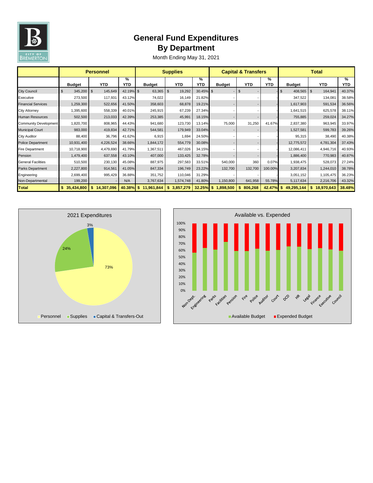

## **General Fund Expenditures By Department**

|                              | <b>Personnel</b> |            |              | <b>Supplies</b> |                 |                 | <b>Capital &amp; Transfers</b> |                |                 | <b>Total</b>               |                  |                 |
|------------------------------|------------------|------------|--------------|-----------------|-----------------|-----------------|--------------------------------|----------------|-----------------|----------------------------|------------------|-----------------|
|                              | <b>Budget</b>    | <b>YTD</b> | %<br>YTD     | <b>Budget</b>   | <b>YTD</b>      | %<br><b>YTD</b> | <b>Budget</b>                  | <b>YTD</b>     | ℅<br><b>YTD</b> | <b>Budget</b>              | <b>YTD</b>       | %<br><b>YTD</b> |
| <b>City Council</b>          | $345,200$ \$     | 145,649    | 42.19% \$    | $63,365$   \$   | 19,292          | $30.45\%$ \$    |                                |                |                 | $408,565$ \$<br>$\sqrt{3}$ | 164,941          | 40.37%          |
| Executive                    | 273,500          | 117,931    | 43.12%       | 74,022          | 16,149          | 21.82%          |                                |                |                 | 347,522                    | 134,081          | 38.58%          |
| <b>Financial Services</b>    | 1,259,300        | 522,656    | 41.50%       | 358,603         | 68,878          | 19.21%          |                                |                |                 | 1,617,903                  | 591,534          | 36.56%          |
| <b>City Attorney</b>         | 1,395,600        | 558,339    | 40.01%       | 245,915         | 67,239          | 27.34%          |                                |                |                 | 1,641,515                  | 625,578          | 38.11%          |
| <b>Human Resources</b>       | 502,500          | 213,033    | 42.39%       | 253,385         | 45,991          | 18.15%          |                                |                |                 | 755,885                    | 259,024          | 34.27%          |
| <b>Community Development</b> | 1,820,700        | 808,965    | 44.43%       | 941,680         | 123,730         | 13.14%          | 75,000                         | 31,250         | 41.67%          | 2,837,380                  | 963,945          | 33.97%          |
| <b>Municipal Court</b>       | 983,000          | 419,834    | 42.71%       | 544,581         | 179,949         | 33.04%          |                                |                |                 | 1,527,581                  | 599,783          | 39.26%          |
| <b>City Auditor</b>          | 88,400           | 36,796     | 41.62%       | 6,915           | 1,694           | 24.50%          |                                |                |                 | 95,315                     | 38,490           | 40.38%          |
| <b>Police Department</b>     | 10,931,400       | 4,226,524  | 38.66%       | 1,844,172       | 554,779         | 30.08%          |                                |                |                 | 12,775,572                 | 4,781,304        | 37.43%          |
| <b>Fire Department</b>       | 10,718,900       | 4,479,690  | 41.79%       | 1,367,511       | 467,026         | 34.15%          |                                |                |                 | 12,086,411                 | 4,946,716        | 40.93%          |
| Pension                      | 1,479,400        | 637,558    | 43.10%       | 407,000         | 133,425         | 32.78%          |                                |                |                 | 1,886,400                  | 770,983          | 40.87%          |
| <b>General Facilities</b>    | 510,500          | 230,130    | 45.08%       | 887,975         | 297,583         | 33.51%          | 540,000                        | 360            | 0.07%           | 1,938,475                  | 528,073          | 27.24%          |
| <b>Parks Department</b>      | 2,227,800        | 914,561    | 41.05%       | 847,334         | 196,749         | 23.22%          | 132,700                        | 132,700        | 100.00%         | 3,207,834                  | 1,244,010        | 38.78%          |
| Engineering                  | 2,699,400        | 995,429    | 36.88%       | 351,752         | 110,046         | 31.29%          |                                |                |                 | 3,051,152                  | 1,105,475        | 36.23%          |
| Non-Departmental             | 199,200          |            | N/A          | 3,767,634       | 1,574,748       | 41.80%          | 1,150,800                      | 641,958        | 55.78%          | 5,117,634                  | 2,216,706        | 43.32%          |
| <b>Total</b>                 | 35,434,800       | 14,307,096 | $40.38\%$ \$ | 11,961,844      | 3,857,279<br>S. | <b>32.25%</b>   | \$<br>1,898,500                | 806,268<br>-SS | 42.47%          | 49,295,144                 | \$<br>18,970,643 | 38.48%          |



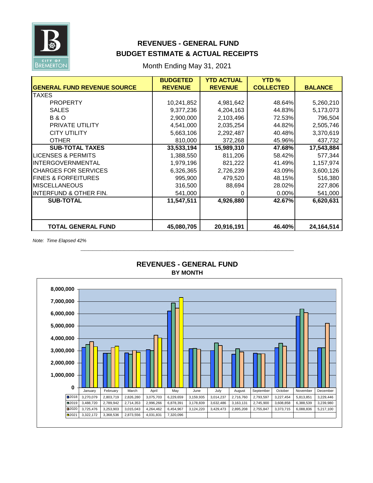

## **REVENUES - GENERAL FUND BUDGET ESTIMATE & ACTUAL RECEIPTS**

Month Ending May 31, 2021

|                                    | <b>BUDGETED</b> | <b>YTD ACTUAL</b> | <b>YTD</b> <sub>%</sub> |                |
|------------------------------------|-----------------|-------------------|-------------------------|----------------|
| <b>GENERAL FUND REVENUE SOURCE</b> | <b>REVENUE</b>  | <b>REVENUE</b>    | <b>COLLECTED</b>        | <b>BALANCE</b> |
| <b>TAXES</b>                       |                 |                   |                         |                |
| <b>PROPERTY</b>                    | 10,241,852      | 4,981,642         | 48.64%                  | 5,260,210      |
| <b>SALES</b>                       | 9,377,236       | 4,204,163         | 44.83%                  | 5,173,073      |
| <b>B&amp;O</b>                     | 2,900,000       | 2,103,496         | 72.53%                  | 796,504        |
| PRIVATE UTILITY                    | 4,541,000       | 2,035,254         | 44.82%                  | 2,505,746      |
| <b>CITY UTILITY</b>                | 5,663,106       | 2,292,487         | 40.48%                  | 3,370,619      |
| <b>OTHER</b>                       | 810,000         | 372,268           | 45.96%                  | 437,732        |
| <b>SUB-TOTAL TAXES</b>             | 33,533,194      | 15,989,310        | 47.68%                  | 17,543,884     |
| <b>LICENSES &amp; PERMITS</b>      | 1,388,550       | 811,206           | 58.42%                  | 577,344        |
| <b>INTERGOVERNMENTAL</b>           | 1,979,196       | 821,222           | 41.49%                  | 1,157,974      |
| <b>CHARGES FOR SERVICES</b>        | 6,326,365       | 2,726,239         | 43.09%                  | 3,600,126      |
| <b>FINES &amp; FORFEITURES</b>     | 995,900         | 479,520           | 48.15%                  | 516,380        |
| <b>MISCELLANEOUS</b>               | 316,500         | 88,694            | 28.02%                  | 227,806        |
| <b>INTERFUND &amp; OTHER FIN.</b>  | 541,000         | 0                 | 0.00%                   | 541,000        |
| <b>SUB-TOTAL</b>                   | 11,547,511      | 4,926,880         | 42.67%                  | 6,620,631      |
|                                    |                 |                   |                         |                |
|                                    |                 |                   |                         |                |
| <b>TOTAL GENERAL FUND</b>          | 45,080,705      | 20,916,191        | 46.40%                  | 24,164,514     |

*Note: Time Elapsed 42%*



#### **BY MONTH REVENUES - GENERAL FUND**

**\_\_\_\_\_\_\_\_\_\_\_\_\_\_\_\_\_\_\_\_\_\_\_\_\_\_\_\_\_\_\_\_\_\_\_\_\_\_\_\_\_\_\_\_\_\_\_\_\_\_\_\_\_\_**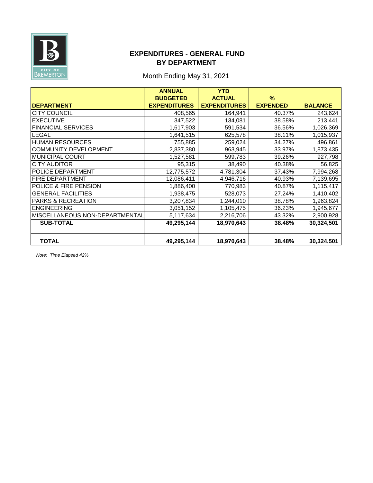

## **EXPENDITURES - GENERAL FUND BY DEPARTMENT**

## Month Ending May 31, 2021

|                                  | <b>ANNUAL</b>       | <b>YTD</b>          |                 |                |
|----------------------------------|---------------------|---------------------|-----------------|----------------|
|                                  | <b>BUDGETED</b>     | <b>ACTUAL</b>       | $\frac{9}{6}$   |                |
| <b>DEPARTMENT</b>                | <b>EXPENDITURES</b> | <b>EXPENDITURES</b> | <b>EXPENDED</b> | <b>BALANCE</b> |
| <b>CITY COUNCIL</b>              | 408,565             | 164,941             | 40.37%          | 243,624        |
| <b>EXECUTIVE</b>                 | 347,522             | 134,081             | 38.58%          | 213,441        |
| <b>FINANCIAL SERVICES</b>        | 1,617,903           | 591,534             | 36.56%          | 1,026,369      |
| <b>LEGAL</b>                     | 1,641,515           | 625,578             | 38.11%          | 1,015,937      |
| <b>HUMAN RESOURCES</b>           | 755,885             | 259,024             | 34.27%          | 496,861        |
| <b>COMMUNITY DEVELOPMENT</b>     | 2,837,380           | 963,945             | 33.97%          | 1,873,435      |
| <b>MUNICIPAL COURT</b>           | 1,527,581           | 599,783             | 39.26%          | 927,798        |
| <b>CITY AUDITOR</b>              | 95,315              | 38,490              | 40.38%          | 56,825         |
| POLICE DEPARTMENT                | 12,775,572          | 4,781,304           | 37.43%          | 7,994,268      |
| FIRE DEPARTMENT                  | 12,086,411          | 4,946,716           | 40.93%          | 7,139,695      |
| <b>POLICE &amp; FIRE PENSION</b> | 1,886,400           | 770,983             | 40.87%          | 1,115,417      |
| <b>GENERAL FACILITIES</b>        | 1,938,475           | 528,073             | 27.24%          | 1,410,402      |
| <b>PARKS &amp; RECREATION</b>    | 3,207,834           | 1,244,010           | 38.78%          | 1,963,824      |
| <b>ENGINEERING</b>               | 3,051,152           | 1,105,475           | 36.23%          | 1,945,677      |
| MISCELLANEOUS NON-DEPARTMENTAL   | 5,117,634           | 2,216,706           | 43.32%          | 2,900,928      |
| <b>SUB-TOTAL</b>                 | 49,295,144          | 18,970,643          | 38.48%          | 30,324,501     |
|                                  |                     |                     |                 |                |
| <b>TOTAL</b>                     | 49,295,144          | 18,970,643          | 38.48%          | 30,324,501     |

*Note: Time Elapsed 42%*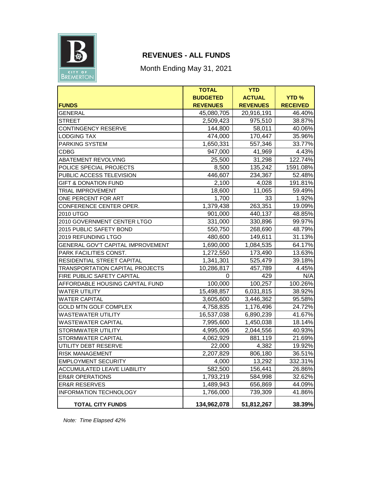

## **REVENUES - ALL FUNDS**

Month Ending May 31, 2021

|                                    | <b>TOTAL</b>    | <b>YTD</b>      |                 |
|------------------------------------|-----------------|-----------------|-----------------|
|                                    | <b>BUDGETED</b> | <b>ACTUAL</b>   | <b>YTD%</b>     |
| <b>FUNDS</b>                       | <b>REVENUES</b> | <b>REVENUES</b> | <b>RECEIVED</b> |
| <b>GENERAL</b>                     | 45,080,705      | 20,916,191      | 46.40%          |
| <b>STREET</b>                      | 2,509,423       | 975,510         | 38.87%          |
| <b>CONTINGENCY RESERVE</b>         | 144,800         | 58,011          | 40.06%          |
| <b>LODGING TAX</b>                 | 474,000         | 170,447         | 35.96%          |
| PARKING SYSTEM                     | 1,650,331       | 557,346         | 33.77%          |
| <b>CDBG</b>                        | 947,000         | 41,969          | 4.43%           |
| ABATEMENT REVOLVING                | 25,500          | 31,298          | 122.74%         |
| POLICE SPECIAL PROJECTS            | 8,500           | 135,242         | 1591.08%        |
| PUBLIC ACCESS TELEVISION           | 446,607         | 234,367         | 52.48%          |
| <b>GIFT &amp; DONATION FUND</b>    | 2,100           | 4,028           | 191.81%         |
| <b>TRIAL IMPROVEMENT</b>           | 18,600          | 11,065          | 59.49%          |
| ONE PERCENT FOR ART                | 1,700           | 33              | 1.92%           |
| CONFERENCE CENTER OPER.            | 1,379,438       | 263,351         | 19.09%          |
| 2010 UTGO                          | 901,000         | 440,137         | 48.85%          |
| 2010 GOVERNMENT CENTER LTGO        | 331,000         | 330,896         | 99.97%          |
| 2015 PUBLIC SAFETY BOND            | 550,750         | 268,690         | 48.79%          |
| 2019 REFUNDING LTGO                | 480,600         | 149,611         | 31.13%          |
| GENERAL GOV'T CAPITAL IMPROVEMENT  | 1,690,000       | 1,084,535       | 64.17%          |
| PARK FACILITIES CONST.             | 1,272,550       | 173,490         | 13.63%          |
| RESIDENTIAL STREET CAPITAL         | 1,341,301       | 525,479         | 39.18%          |
| TRANSPORTATION CAPITAL PROJECTS    | 10,286,817      | 457,789         | 4.45%           |
| FIRE PUBLIC SAFETY CAPITAL         | 0               | 429             | N/A             |
| AFFORDABLE HOUSING CAPITAL FUND    | 100,000         | 100,257         | 100.26%         |
| <b>WATER UTILITY</b>               | 15,498,857      | 6,031,815       | 38.92%          |
| <b>WATER CAPITAL</b>               | 3,605,600       | 3,446,362       | 95.58%          |
| GOLD MTN GOLF COMPLEX              | 4,758,835       | 1,176,496       | 24.72%          |
| <b>WASTEWATER UTILITY</b>          | 16,537,038      | 6,890,239       | 41.67%          |
| <b>WASTEWATER CAPITAL</b>          | 7,995,600       | 1,450,038       | 18.14%          |
| STORMWATER UTILITY                 | 4,995,006       | 2,044,556       | 40.93%          |
| STORMWATER CAPITAL                 | 4,062,929       | 881,119         | 21.69%          |
| UTILITY DEBT RESERVE               | 22,000          | 4,382           | 19.92%          |
| <b>RISK MANAGEMENT</b>             | 2,207,829       | 806,180         | 36.51%          |
| <b>EMPLOYMENT SECURITY</b>         | 4,000           | 13,292          | 332.31%         |
| <b>ACCUMULATED LEAVE LIABILITY</b> | 582,500         | 156,441         | 26.86%          |
| <b>ER&amp;R OPERATIONS</b>         | 1,793,219       | 584,998         | 32.62%          |
| <b>ER&amp;R RESERVES</b>           | 1,489,943       | 656,869         | 44.09%          |
| <b>INFORMATION TECHNOLOGY</b>      | 1,766,000       | 739,309         | 41.86%          |
| <b>TOTAL CITY FUNDS</b>            | 134,962,078     | 51,812,267      | 38.39%          |

*Note: Time Elapsed 42%*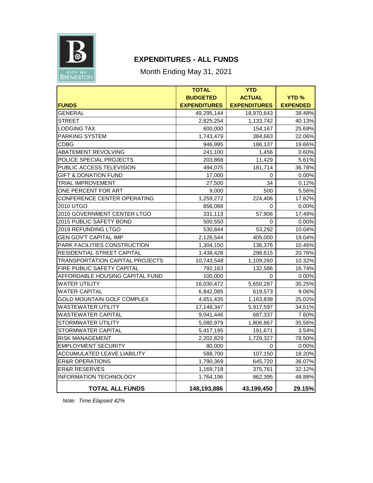

## **EXPENDITURES - ALL FUNDS**

Month Ending May 31, 2021

|                                        | <b>TOTAL</b>        | <b>YTD</b>          |                 |
|----------------------------------------|---------------------|---------------------|-----------------|
|                                        | <b>BUDGETED</b>     | <b>ACTUAL</b>       | <b>YTD%</b>     |
| <b>FUNDS</b>                           | <b>EXPENDITURES</b> | <b>EXPENDITURES</b> | <b>EXPENDED</b> |
| <b>GENERAL</b>                         | 49,295,144          | 18,970,643          | 38.48%          |
| <b>STREET</b>                          | 2,825,254           | 1,133,742           | 40.13%          |
| <b>LODGING TAX</b>                     | 600,000             | 154,167             | 25.69%          |
| <b>PARKING SYSTEM</b>                  | 1,743,479           | 384,663             | 22.06%          |
| CDBG                                   | 946,995             | 186,137             | 19.66%          |
| <b>ABATEMENT REVOLVING</b>             | 241,100             | 1,456               | 0.60%           |
| POLICE SPECIAL PROJECTS                | 203,868             | 11,429              | 5.61%           |
| PUBLIC ACCESS TELEVISION               | 494,075             | 181,714             | 36.78%          |
| <b>GIFT &amp; DONATION FUND</b>        | 17,000              | 0                   | $0.00\%$        |
| <b>TRIAL IMPROVEMENT</b>               | 27,500              | 34                  | 0.12%           |
| ONE PERCENT FOR ART                    | 9,000               | 500                 | 5.56%           |
| CONFERENCE CENTER OPERATING            | 1,259,272           | 224,406             | 17.82%          |
| 2010 UTGO                              | 856,088             | 0                   | 0.00%           |
| 2010 GOVERNMENT CENTER LTGO            | 331,113             | 57,906              | 17.49%          |
| 2015 PUBLIC SAFETY BOND                | 500,550             | 0                   | 0.00%           |
| 2019 REFUNDING LTGO                    | 530,844             | 53,292              | 10.04%          |
| <b>GEN GOV'T CAPITAL IMP</b>           | 2,126,544           | 405,000             | 19.04%          |
| PARK FACILITIES CONSTRUCTION           | 1,304,150           | 136,376             | 10.46%          |
| RESIDENTIAL STREET CAPITAL             | 1,438,428           | 298,615             | 20.76%          |
| <b>TRANSPORTATION CAPITAL PROJECTS</b> | 10,743,548          | 1,109,260           | 10.32%          |
| FIRE PUBLIC SAFETY CAPITAL             | 792,163             | 132,586             | 16.74%          |
| AFFORDABLE HOUSING CAPITAL FUND        | 100,000             | 0                   | $0.00\%$        |
| WATER UTILITY                          | 16,030,472          | 5,650,287           | 35.25%          |
| <b>WATER CAPITAL</b>                   | 6,842,085           | 619,573             | 9.06%           |
| GOLD MOUNTAIN GOLF COMPLEX             | 4,651,435           | 1,163,838           | 25.02%          |
| <b>WASTEWATER UTILITY</b>              | 17,148,347          | 5,917,597           | 34.51%          |
| <b>WASTEWATER CAPITAL</b>              | 9,041,446           | 687,337             | 7.60%           |
| STORMWATER UTILITY                     | 5,080,979           | 1,806,867           | 35.56%          |
| STORMWATER CAPITAL                     | 5,417,195           | 191,671             | 3.54%           |
| <b>RISK MANAGEMENT</b>                 | 2,202,829           | 1,729,327           | 78.50%          |
| <b>EMPLOYMENT SECURITY</b>             | 80,000              | 0                   | $0.00\%$        |
| <b>ACCUMULATED LEAVE LIABILITY</b>     | 588,700             | 107,150             | 18.20%          |
| <b>ER&amp;R OPERATIONS</b>             | 1,790,369           | 645,720             | 36.07%          |
| <b>ER&amp;R RESERVES</b>               | 1,169,718           | 375,761             | 32.12%          |
| <b>INFORMATION TECHNOLOGY</b>          | 1,764,196           | 862,395             | 48.88%          |
| <b>TOTAL ALL FUNDS</b>                 | 148,193,886         | 43,199,450          | 29.15%          |

*Note: Time Elapsed 42%*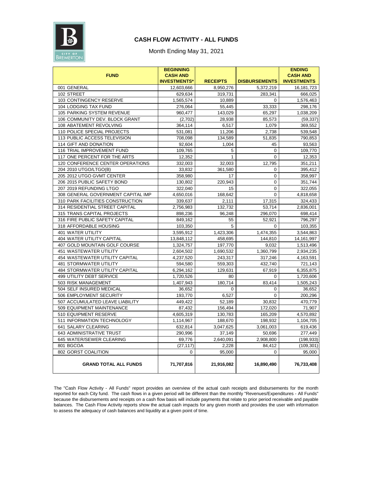

### **CASH FLOW ACTIVITY - ALL FUNDS**

Month Ending May 31, 2021

| <b>FUND</b>                        | <b>BEGINNING</b><br><b>CASH AND</b> |                 |                      | <b>ENDING</b><br><b>CASH AND</b> |
|------------------------------------|-------------------------------------|-----------------|----------------------|----------------------------------|
|                                    | <b>INVESTMENTS*</b>                 | <b>RECEIPTS</b> | <b>DISBURSEMENTS</b> | <b>INVESTMENTS</b>               |
| 001 GENERAL                        | 12,603,666                          | 8,950,276       | 5,372,219            | 16, 181, 723                     |
| 102 STREET                         | 629,634                             | 319,731         | 283,341              | 666,025                          |
| 103 CONTINGENCY RESERVE            | 1,565,574                           | 10,889          | $\Omega$             | 1,576,463                        |
| 104 LODGING TAX FUND               | 276,064                             | 55,445          | 33,333               | 298,176                          |
| 105 PARKING SYSTEM REVENUE         | 960,477                             | 143,029         | 65,297               | 1,038,209                        |
| 106 COMMUNITY DEV. BLOCK GRANT     | (2,702)                             | 28,938          | 85,573               | (59, 337)                        |
| 108 ABATEMENT REVOLVING            | 364,114                             | 6,517           | 1,079                | 369,552                          |
| 110 POLICE SPECIAL PROJECTS        | 531,081                             | 11,206          | 2,738                | 539,548                          |
| 113 PUBLIC ACCESS TELEVISION       | 708,098                             | 134,589         | 51,835               | 790,853                          |
| 114 GIFT AND DONATION              | 92,604                              | 1,004           | 45                   | 93,563                           |
| 116 TRIAL IMPROVEMENT FUND         | 109,765                             | 5               | 0                    | 109,770                          |
| 117 ONE PERCENT FOR THE ARTS       | 12,352                              | 1               | 0                    | 12,353                           |
| 120 CONFERENCE CENTER OPERATIONS   | 332,003                             | 32,003          | 12,795               | 351,211                          |
| 204 2010 UTGO/LTGO(B)              | 33,832                              | 361,580         | 0                    | 395,412                          |
| 205 2012 UTGO GVMT CENTER          | 358,980                             | 17              | 0                    | 358,997                          |
| 206 2015 PUBLIC SAFETY BOND        | 130,802                             | 220,943         | 0                    | 351,744                          |
| 207 2019 REFUNDING LTGO            | 322,040                             | 15              | 0                    | 322,055                          |
| 308 GENERAL GOVERNMENT CAPITAL IMP | 4,650,016                           | 168,642         | 0                    | 4,818,658                        |
| 310 PARK FACILITIES CONSTRUCTION   | 339,637                             | 2,111           | 17,315               | 324,433                          |
| 314 RESIDENTIAL STREET CAPITAL     | 2,756,983                           | 132,732         | 53,714               | 2,836,001                        |
| 315 TRANS CAPITAL PROJECTS         | 898,236                             | 96,248          | 296,070              | 698,414                          |
| 316 FIRE PUBLIC SAFETY CAPITAL     | 849,162                             | 55              | 52,921               | 796,297                          |
| 318 AFFORDABLE HOUSING             | 103,350                             | 5               | $\Omega$             | 103,355                          |
| <b>401 WATER UTILITY</b>           | 3,595,912                           | 1,423,306       | 1,474,355            | 3,544,863                        |
| 404 WATER UTILITY CAPITAL          | 13,848,112                          | 458,695         | 144,810              | 14, 161, 997                     |
| 407 GOLD MOUNTAIN GOLF COURSE      | 1,324,757                           | 197,770         | 9,032                | 1,513,496                        |
| 451 WASTEWATER UTILITY             | 2,604,502                           | 1,690,532       | 1,360,799            | 2,934,235                        |
| 454 WASTEWATER UTILITY CAPITAL     | 4,237,520                           | 243,317         | 317,246              | 4,163,591                        |
| <b>481 STORMWATER UTILITY</b>      | 594,580                             | 559,303         | 432,740              | 721,143                          |
| 484 STORMWATER UTILITY CAPITAL     | 6,294,162                           | 129,631         | 67,919               | 6,355,875                        |
| 499 UTILITY DEBT SERVICE           | 1,720,526                           | 80              | 0                    | 1,720,606                        |
| 503 RISK MANAGEMENT                | 1,407,943                           | 180,714         | 83,414               | 1,505,243                        |
| 504 SELF INSURED MEDICAL           | 36,652                              | $\mathbf 0$     | $\mathsf{O}\xspace$  | 36,652                           |
| 506 EMPLOYMENT SECURITY            | 193,770                             | 6,527           | 0                    | 200,296                          |
| 507 ACCUMULATED LEAVE LIABILITY    | 449,422                             | 52,189          | 30,832               | 470,779                          |
| 509 EQUIPMENT MAINTENANCE          | 87,432                              | 156,494         | 172,020              | 71,907                           |
| 510 EQUIPMENT RESERVE              | 4,605,319                           | 130,783         | 165,209              | 4,570,892                        |
| 511 INFORMATION TECHNOLOGY         | 1,114,967                           | 188,670         | 198,932              | 1,104,705                        |
| 641 SALARY CLEARING                | 632,814                             | 3,047,625       | 3,061,003            | 619,436                          |
| 643 ADMINISTRATIVE TRUST           | 290,996                             | 37,149          | 50,696               | 277,449                          |
| 645 WATER/SEWER CLEARING           | 69,776                              | 2,640,091       | 2,908,800            | (198, 933)                       |
| 801 BGCOA                          | (27, 117)                           | 2,228           | 84,412               | (109, 301)                       |
| 802 GORST COALITION                | 0                                   | 95,000          | 0                    | 95,000                           |
| <b>GRAND TOTAL ALL FUNDS</b>       | 71,707,816                          | 21,916,082      | 16,890,490           | 76,733,408                       |

The "Cash Flow Activity - All Funds" report provides an overview of the actual cash receipts and disbursements for the month reported for each City fund. The cash flows in a given period will be different than the monthly "Revenues/Expenditures - All Funds" because the disbursements and receipts on a cash flow basis will include payments that relate to prior period receivable and payable balances. The Cash Flow Activity reports show the actual cash impacts for any given month and provides the user with information to assess the adequacy of cash balances and liquidity at a given point of time.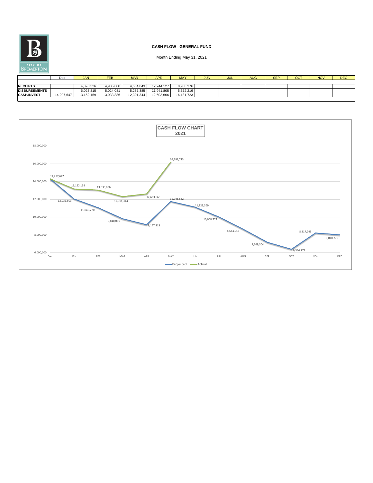|                      | Dec        | <b>JAN</b> | <b>FEB</b> | <b>MAR</b> | <b>APR</b> | <b>MAY</b> | <b>JUN</b> | JUL | AUG | <b>SEP</b> | OCT | <b>NOV</b> | <b>DEC</b> |
|----------------------|------------|------------|------------|------------|------------|------------|------------|-----|-----|------------|-----|------------|------------|
|                      |            |            |            |            |            |            |            |     |     |            |     |            |            |
| <b>RECEIPTS</b>      |            | 4,878,326  | 4,905,808  | 4,554,843  | 12,244,127 | 8,950,276  |            |     |     |            |     |            |            |
| <b>DISBURSEMENTS</b> |            | 6,023,815  | 5,024,081  | 5,287,385  | 11,941,805 | 5,372,219  |            |     |     |            |     |            |            |
| <b>CASH/INVEST</b>   | 14,297,647 | 13,152,159 | 13,033,886 | 12,301,344 | 12,603,666 | 16,181,723 |            |     |     |            |     |            |            |
|                      |            |            |            |            |            |            |            |     |     |            |     |            |            |



## **CASH FLOW - GENERAL FUND**